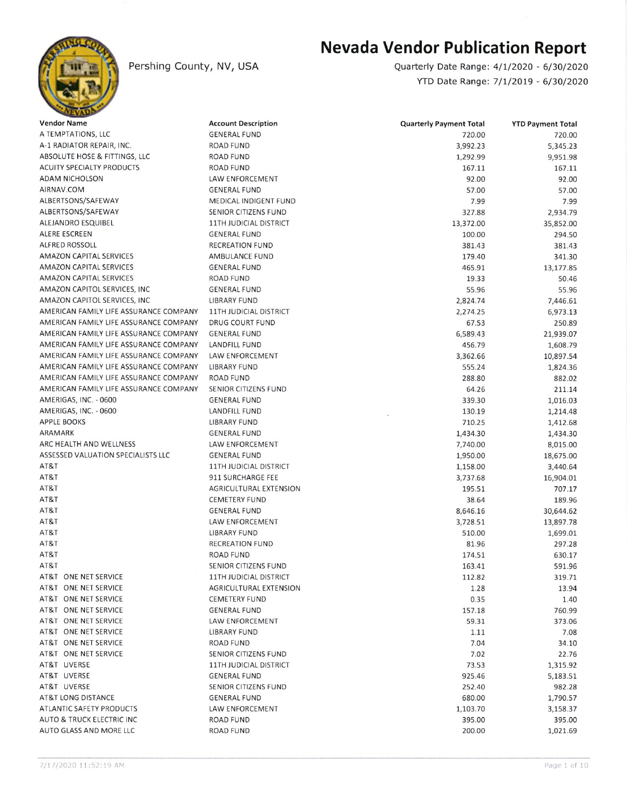

## Pershing County, NV, USA

## Nevada Vendor Publication Report

Quarterly Date Range: 4/U2O2O - 6/30/2020 YTD Date Ranqei 7/l/2019 - 6/30/2020

| <b>Vendor Name</b>                     | <b>Account Description</b>    | <b>Quarterly Payment Total</b> | <b>YTD Payment Total</b> |
|----------------------------------------|-------------------------------|--------------------------------|--------------------------|
| A TEMPTATIONS, LLC                     | <b>GENERAL FUND</b>           | 720.00                         | 720.00                   |
| A-1 RADIATOR REPAIR, INC.              | <b>ROAD FUND</b>              | 3,992.23                       | 5,345.23                 |
| ABSOLUTE HOSE & FITTINGS, LLC          | <b>ROAD FUND</b>              | 1,292.99                       | 9,951.98                 |
| <b>ACUITY SPECIALTY PRODUCTS</b>       | <b>ROAD FUND</b>              | 167.11                         | 167.11                   |
| ADAM NICHOLSON                         | LAW ENFORCEMENT               | 92.00                          | 92.00                    |
| AIRNAV.COM                             | <b>GENERAL FUND</b>           | 57.00                          | 57.00                    |
| ALBERTSONS/SAFEWAY                     | MEDICAL INDIGENT FUND         | 7.99                           | 7.99                     |
| ALBERTSONS/SAFEWAY                     | SENIOR CITIZENS FUND          | 327.88                         | 2,934.79                 |
| ALEJANDRO ESQUIBEL                     | 11TH JUDICIAL DISTRICT        | 13,372.00                      | 35,852.00                |
| ALERE ESCREEN                          | <b>GENERAL FUND</b>           | 100.00                         | 294.50                   |
| ALFRED ROSSOLL                         | <b>RECREATION FUND</b>        | 381.43                         | 381.43                   |
| AMAZON CAPITAL SERVICES                | <b>AMBULANCE FUND</b>         | 179.40                         | 341.30                   |
| <b>AMAZON CAPITAL SERVICES</b>         | <b>GENERAL FUND</b>           | 465.91                         | 13,177.85                |
| AMAZON CAPITAL SERVICES                | ROAD FUND                     | 19.33                          | 50.46                    |
| AMAZON CAPITOL SERVICES, INC.          | <b>GENERAL FUND</b>           | 55.96                          | 55.96                    |
| AMAZON CAPITOL SERVICES, INC           | LIBRARY FUND                  | 2,824.74                       | 7,446.61                 |
| AMERICAN FAMILY LIFE ASSURANCE COMPANY | 11TH JUDICIAL DISTRICT        | 2,274.25                       | 6,973.13                 |
| AMERICAN FAMILY LIFE ASSURANCE COMPANY | <b>DRUG COURT FUND</b>        | 67.53                          | 250.89                   |
| AMERICAN FAMILY LIFE ASSURANCE COMPANY | <b>GENERAL FUND</b>           | 6,589.43                       | 21,939.07                |
| AMERICAN FAMILY LIFE ASSURANCE COMPANY | LANDFILL FUND                 | 456.79                         | 1,608.79                 |
| AMERICAN FAMILY LIFE ASSURANCE COMPANY | <b>LAW ENFORCEMENT</b>        | 3,362.66                       | 10,897.54                |
| AMERICAN FAMILY LIFE ASSURANCE COMPANY | <b>LIBRARY FUND</b>           | 555.24                         | 1,824.36                 |
| AMERICAN FAMILY LIFE ASSURANCE COMPANY | <b>ROAD FUND</b>              | 288.80                         | 882.02                   |
| AMERICAN FAMILY LIFE ASSURANCE COMPANY | SENIOR CITIZENS FUND          | 64.26                          | 211.14                   |
| AMERIGAS, INC. - 0600                  | <b>GENERAL FUND</b>           | 339.30                         | 1,016.03                 |
| AMERIGAS, INC. - 0600                  | LANDFILL FUND                 | 130.19                         | 1,214.48                 |
| <b>APPLE BOOKS</b>                     | LIBRARY FUND                  | 710.25                         | 1,412.68                 |
| ARAMARK                                | <b>GENERAL FUND</b>           | 1,434.30                       | 1,434.30                 |
| ARC HEALTH AND WELLNESS                | LAW ENFORCEMENT               | 7,740.00                       | 8,015.00                 |
| ASSESSED VALUATION SPECIALISTS LLC     | <b>GENERAL FUND</b>           | 1,950.00                       | 18,675.00                |
| AT&T                                   | 11TH JUDICIAL DISTRICT        | 1,158.00                       | 3,440.64                 |
| AT&T                                   | 911 SURCHARGE FEE             | 3,737.68                       | 16,904.01                |
| AT&T                                   | AGRICULTURAL EXTENSION        | 195.51                         | 707.17                   |
| AT&T                                   | <b>CEMETERY FUND</b>          | 38.64                          | 189.96                   |
| AT&T                                   | <b>GENERAL FUND</b>           | 8,646.16                       | 30,644.62                |
| AT&T                                   | LAW ENFORCEMENT               | 3,728.51                       | 13,897.78                |
| AT&T                                   | <b>LIBRARY FUND</b>           | 510.00                         | 1,699.01                 |
| AT&T                                   | <b>RECREATION FUND</b>        | 81.96                          | 297.28                   |
| AT&T                                   | ROAD FUND                     | 174.51                         | 630.17                   |
| AT&T                                   | SENIOR CITIZENS FUND          | 163.41                         | 591.96                   |
| AT&T ONE NET SERVICE                   | 11TH JUDICIAL DISTRICT        | 112.82                         | 319.71                   |
| AT&T ONE NET SERVICE                   | <b>AGRICULTURAL EXTENSION</b> | 1.28                           | 13.94                    |
| AT&T ONE NET SERVICE                   | <b>CEMETERY FUND</b>          | 0.35                           | 1.40                     |
| AT&T ONE NET SERVICE                   | <b>GENERAL FUND</b>           | 157.18                         | 760.99                   |
| AT&T ONE NET SERVICE                   | LAW ENFORCEMENT               | 59.31                          |                          |
| AT&T ONE NET SERVICE                   | <b>LIBRARY FUND</b>           |                                | 373.06<br>7.08           |
| AT&T ONE NET SERVICE                   | ROAD FUND                     | 1.11                           |                          |
| AT&T ONE NET SERVICE                   | SENIOR CITIZENS FUND          | 7.04                           | 34.10                    |
|                                        | 11TH JUDICIAL DISTRICT        | 7.02                           | 22.76                    |
| AT&T UVERSE                            |                               | 73.53                          | 1,315.92                 |
| AT&T UVERSE                            | <b>GENERAL FUND</b>           | 925.46                         | 5,183.51                 |
| AT&T UVERSE                            | SENIOR CITIZENS FUND          | 252.40                         | 982.28                   |
| AT&T LONG DISTANCE                     | <b>GENERAL FUND</b>           | 680.00                         | 1,790.57                 |
| ATLANTIC SAFETY PRODUCTS               | LAW ENFORCEMENT               | 1,103.70                       | 3,158.37                 |
| AUTO & TRUCK ELECTRIC INC              | ROAD FUND                     | 395.00                         | 395.00                   |
| AUTO GLASS AND MORE LLC                | <b>ROAD FUND</b>              | 200.00                         | 1,021.69                 |